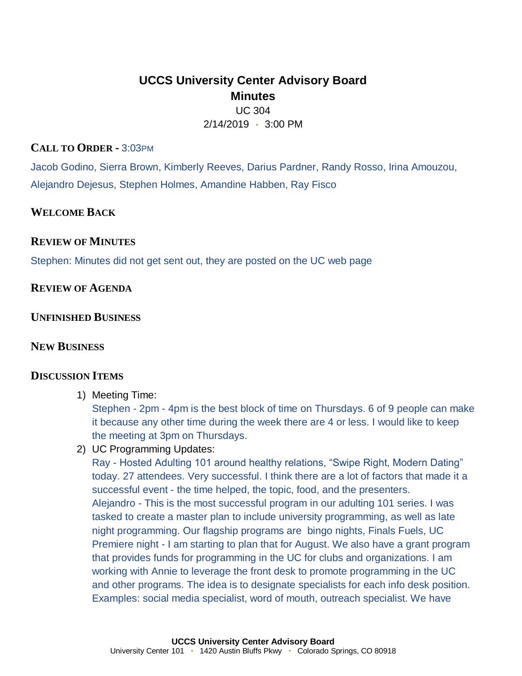# **UCCS University Center Advisory Board Minutes**

UC 304 2/14/2019 • 3:00 PM

### **CALL TO ORDER -** 3:03PM

Jacob Godino, Sierra Brown, Kimberly Reeves, Darius Pardner, Randy Rosso, Irina Amouzou, Alejandro Dejesus, Stephen Holmes, Amandine Habben, Ray Fisco

## **WELCOME BACK**

## **REVIEW OF MINUTES**

Stephen: Minutes did not get sent out, they are posted on the UC web page

**REVIEW OF AGENDA**

**UNFINISHED BUSINESS**

# **NEW BUSINESS**

### **DISCUSSION ITEMS**

1) Meeting Time:

Stephen - 2pm - 4pm is the best block of time on Thursdays. 6 of 9 people can make it because any other time during the week there are 4 or less. I would like to keep the meeting at 3pm on Thursdays.

2) UC Programming Updates:

Ray - Hosted Adulting 101 around healthy relations, "Swipe Right, Modern Dating" today. 27 attendees. Very successful. I think there are a lot of factors that made it a successful event - the time helped, the topic, food, and the presenters. Alejandro - This is the most successful program in our adulting 101 series. I was tasked to create a master plan to include university programming, as well as late night programming. Our flagship programs are bingo nights, Finals Fuels, UC Premiere night - I am starting to plan that for August. We also have a grant program that provides funds for programming in the UC for clubs and organizations. I am working with Annie to leverage the front desk to promote programming in the UC and other programs. The idea is to designate specialists for each info desk position. Examples: social media specialist, word of mouth, outreach specialist. We have